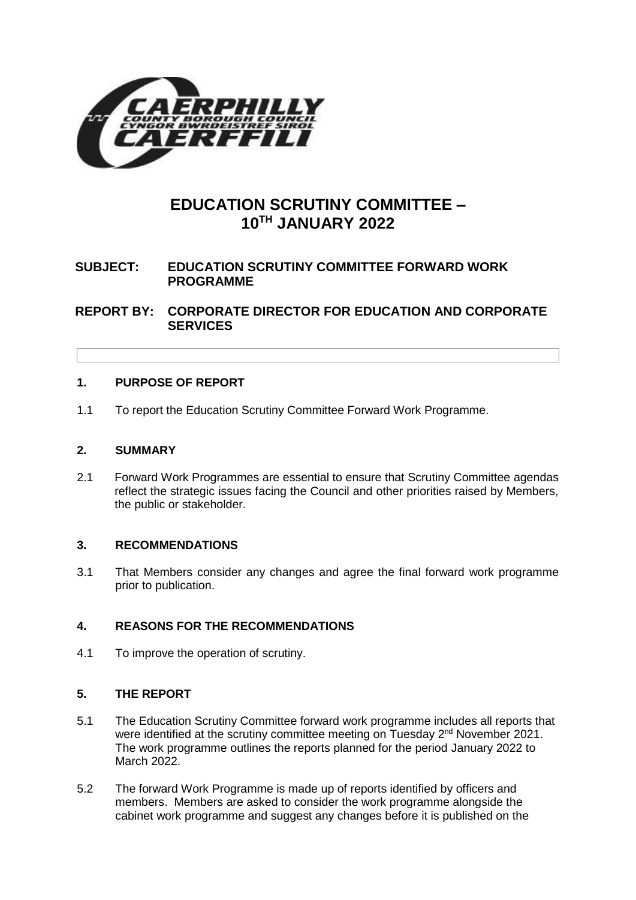

# **EDUCATION SCRUTINY COMMITTEE – 10TH JANUARY 2022**

# **SUBJECT: EDUCATION SCRUTINY COMMITTEE FORWARD WORK PROGRAMME**

**REPORT BY: CORPORATE DIRECTOR FOR EDUCATION AND CORPORATE SERVICES**

## **1. PURPOSE OF REPORT**

1.1 To report the Education Scrutiny Committee Forward Work Programme.

#### **2. SUMMARY**

2.1 Forward Work Programmes are essential to ensure that Scrutiny Committee agendas reflect the strategic issues facing the Council and other priorities raised by Members, the public or stakeholder.

#### **3. RECOMMENDATIONS**

3.1 That Members consider any changes and agree the final forward work programme prior to publication.

# **4. REASONS FOR THE RECOMMENDATIONS**

4.1 To improve the operation of scrutiny.

#### **5. THE REPORT**

- 5.1 The Education Scrutiny Committee forward work programme includes all reports that were identified at the scrutiny committee meeting on Tuesday 2<sup>nd</sup> November 2021. The work programme outlines the reports planned for the period January 2022 to March 2022.
- 5.2 The forward Work Programme is made up of reports identified by officers and members. Members are asked to consider the work programme alongside the cabinet work programme and suggest any changes before it is published on the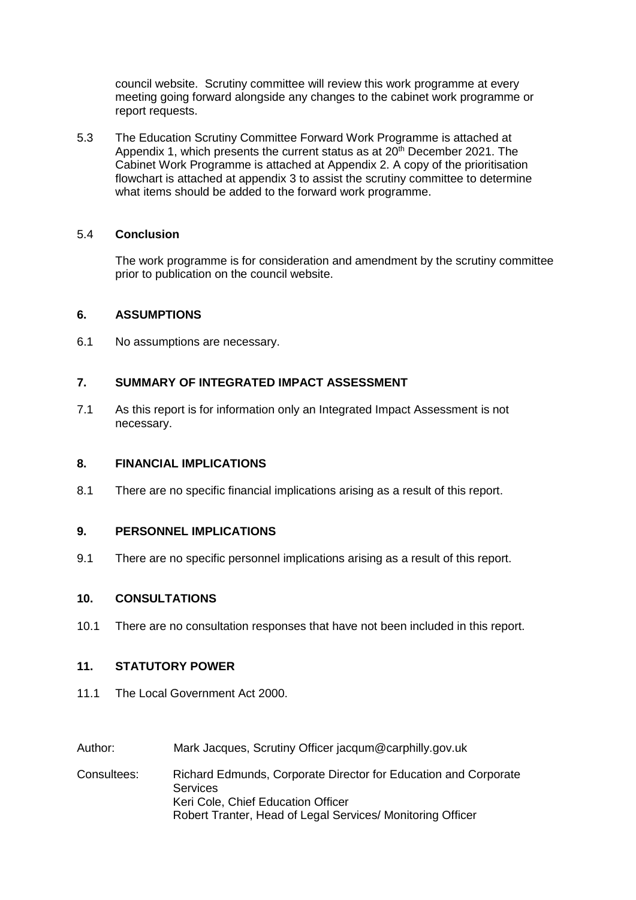council website. Scrutiny committee will review this work programme at every meeting going forward alongside any changes to the cabinet work programme or report requests.

5.3 The Education Scrutiny Committee Forward Work Programme is attached at Appendix 1, which presents the current status as at  $20<sup>th</sup>$  December 2021. The Cabinet Work Programme is attached at Appendix 2. A copy of the prioritisation flowchart is attached at appendix 3 to assist the scrutiny committee to determine what items should be added to the forward work programme.

#### 5.4 **Conclusion**

The work programme is for consideration and amendment by the scrutiny committee prior to publication on the council website.

#### **6. ASSUMPTIONS**

6.1 No assumptions are necessary.

### **7. SUMMARY OF INTEGRATED IMPACT ASSESSMENT**

7.1 As this report is for information only an Integrated Impact Assessment is not necessary.

#### **8. FINANCIAL IMPLICATIONS**

8.1 There are no specific financial implications arising as a result of this report.

#### **9. PERSONNEL IMPLICATIONS**

9.1 There are no specific personnel implications arising as a result of this report.

#### **10. CONSULTATIONS**

10.1 There are no consultation responses that have not been included in this report.

#### **11. STATUTORY POWER**

- 11.1 The Local Government Act 2000.
- Author: Mark Jacques, Scrutiny Officer jacqum@carphilly.gov.uk
- Consultees: Richard Edmunds, Corporate Director for Education and Corporate **Services** Keri Cole, Chief Education Officer Robert Tranter, Head of Legal Services/ Monitoring Officer